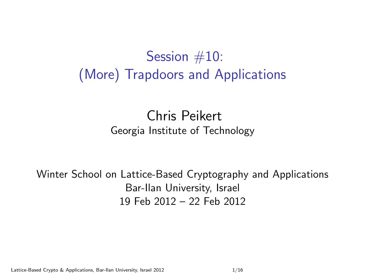## Session #10: (More) Trapdoors and Applications

### Chris Peikert Georgia Institute of Technology

Winter School on Lattice-Based Cryptography and Applications Bar-Ilan University, Israel 19 Feb 2012 – 22 Feb 2012

Lattice-Based Crypto & Applications, Bar-Ilan University, Israel 2012 11:16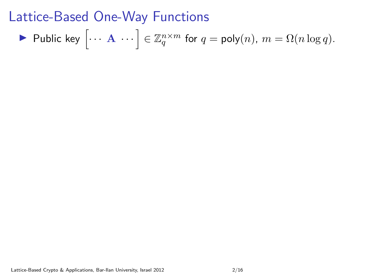$$
\blacktriangleright \text{ Public key } \left[ \cdots \mathbf{A} \cdots \right] \in \mathbb{Z}_q^{n \times m} \text{ for } q = \text{poly}(n), m = \Omega(n \log q).
$$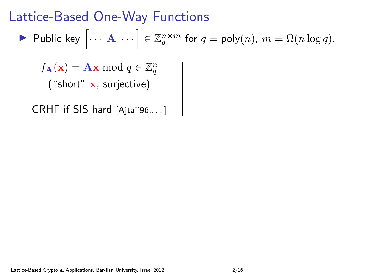$$
\blacktriangleright \text{ Public key } \left[ \cdots \mathbf{A} \cdots \right] \in \mathbb{Z}_q^{n \times m} \text{ for } q = \text{poly}(n), m = \Omega(n \log q).
$$

 $f_{\mathbf{A}}(\mathbf{x}) = \mathbf{A}\mathbf{x} \bmod q \in \mathbb{Z}_q^n$ ("short" x, surjective)

CRHF if SIS hard [Ajtai'96,. . . ]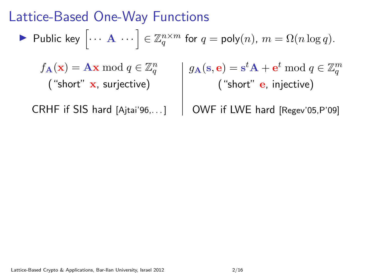$$
\blacktriangleright \text{ Public key } \left[ \cdots \mathbf{A} \cdots \right] \in \mathbb{Z}_q^{n \times m} \text{ for } q = \text{poly}(n), m = \Omega(n \log q).
$$

 $f_{\mathbf{A}}(\mathbf{x}) = \mathbf{A}\mathbf{x} \bmod q \in \mathbb{Z}_q^n$ ("short" x, surjective)  $g_{\mathbf{A}}(\mathbf{s}, \mathbf{e}) = \mathbf{s}^t \mathbf{A} + \mathbf{e}^t \bmod q \in \mathbb{Z}_q^m$ ("short" **e**, injective)

CRHF if SIS hard [Ajtai'96,...]

OWF if LWE hard [Regev'05,P'09]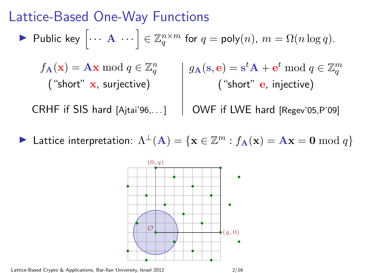$$
\blacktriangleright \text{ Public key } \left[ \cdots \mathbf{A} \cdots \right] \in \mathbb{Z}_q^{n \times m} \text{ for } q = \text{poly}(n), m = \Omega(n \log q).
$$

 $f_{\mathbf{A}}(\mathbf{x}) = \mathbf{A}\mathbf{x} \bmod q \in \mathbb{Z}_q^n$ ("short" x, surjective)  $g_{\mathbf{A}}(\mathbf{s}, \mathbf{e}) = \mathbf{s}^t \mathbf{A} + \mathbf{e}^t \bmod q \in \mathbb{Z}_q^m$ ("short" e, injective)

CRHF if SIS hard [Ajtai'96,. . . ]

OWF if LWE hard [Regev'05,P'09]

► Lattice interpretation:  $\Lambda^{\perp}(A) = \{ x \in \mathbb{Z}^m : f_A(x) = Ax = 0 \bmod{q} \}$ 

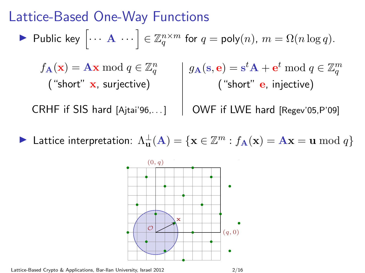$$
\blacktriangleright \text{ Public key } \left[ \cdots \mathbf{A} \cdots \right] \in \mathbb{Z}_q^{n \times m} \text{ for } q = \text{poly}(n), m = \Omega(n \log q).
$$

 $f_{\mathbf{A}}(\mathbf{x}) = \mathbf{A}\mathbf{x} \bmod q \in \mathbb{Z}_q^n$ ("short" x, surjective)  $g_{\mathbf{A}}(\mathbf{s}, \mathbf{e}) = \mathbf{s}^t \mathbf{A} + \mathbf{e}^t \bmod q \in \mathbb{Z}_q^m$ ("short" e, injective)

CRHF if SIS hard [Ajtai'96,. . . ]

OWF if LWE hard [Regev'05,P'09]

► Lattice interpretation:  $\Lambda_{\mathbf{u}}^{\perp}(\mathbf{A}) = \{ \mathbf{x} \in \mathbb{Z}^m : f_{\mathbf{A}}(\mathbf{x}) = \mathbf{A}\mathbf{x} = \mathbf{u} \bmod q \}$ 

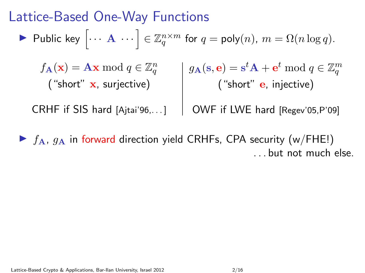$$
\blacktriangleright \text{ Public key } \left[ \cdots \mathbf{A} \cdots \right] \in \mathbb{Z}_q^{n \times m} \text{ for } q = \text{poly}(n), m = \Omega(n \log q).
$$

 $f_{\mathbf{A}}(\mathbf{x}) = \mathbf{A}\mathbf{x} \bmod q \in \mathbb{Z}_q^n$ ("short" x, surjective)  $g_{\mathbf{A}}(\mathbf{s}, \mathbf{e}) = \mathbf{s}^t \mathbf{A} + \mathbf{e}^t \bmod q \in \mathbb{Z}_q^m$ ("short" **e**, injective)

CRHF if SIS hard [Ajtai'96,. . . ] OWF if LWE hard [Regev'05,P'09]

 $\triangleright$   $f_{\rm A}$ ,  $g_{\rm A}$  in forward direction yield CRHFs, CPA security (w/FHE!) . . . but not much else.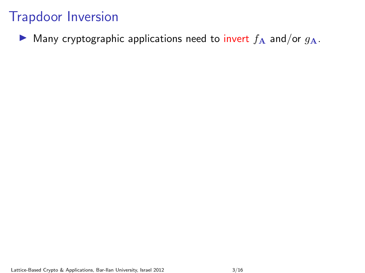$\triangleright$  Many cryptographic applications need to invert  $f_A$  and/or  $g_A$ .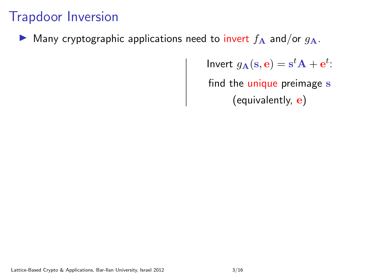Many cryptographic applications need to invert  $f_A$  and/or  $g_A$ .

Invert  $g_{\mathbf{A}}(\mathbf{s}, \mathbf{e}) = \mathbf{s}^t \mathbf{A} + \mathbf{e}^t$ : find the unique preimage s (equivalently,  ${\bf e})$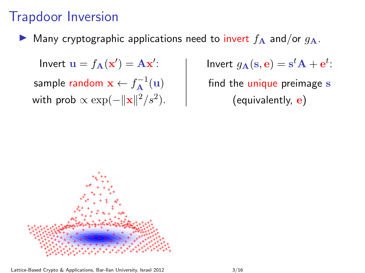Many cryptographic applications need to invert  $f_A$  and/or  $g_A$ .

Invert  $\mathbf{u} = f_{\mathbf{A}}(\mathbf{x}') = \mathbf{A}\mathbf{x}'$ : sample random  $\mathbf{x} \leftarrow f_{\mathbf{A}}^{-1}(\mathbf{u})$ with prob  $\propto \exp(-\|\mathbf{x}\|^2/s^2)$ . Invert  $g_{\mathbf{A}}(\mathbf{s}, \mathbf{e}) = \mathbf{s}^t \mathbf{A} + \mathbf{e}^t$ : find the unique preimage s (equivalently, e)

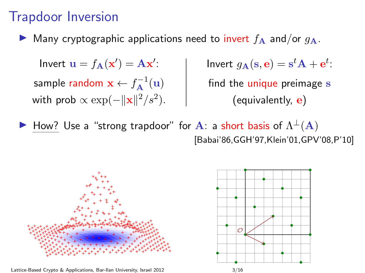Many cryptographic applications need to invert  $f_A$  and/or  $q_A$ .

Invert  $\mathbf{u} = f_{\mathbf{A}}(\mathbf{x}') = \mathbf{A}\mathbf{x}'$ : sample random  $\mathbf{x} \leftarrow f_{\mathbf{A}}^{-1}(\mathbf{u})$ with prob  $\propto \exp(-\|\mathbf{x}\|^2/s^2)$ . Invert  $g_{\mathbf{A}}(\mathbf{s}, \mathbf{e}) = \mathbf{s}^t \mathbf{A} + \mathbf{e}^t$ : find the unique preimage s (equivalently, e)

 $\blacktriangleright$  How? Use a "strong trapdoor" for A: a short basis of  $\Lambda^{\perp}(A)$ [Babai'86,GGH'97,Klein'01,GPV'08,P'10]



Lattice-Based Crypto & Applications, Bar-Ilan University, Israel 2012 3/16

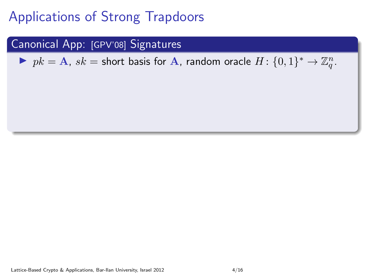#### Canonical App: [GPV'08] Signatures

▶  $pk = A$ ,  $sk =$  short basis for A, random oracle  $H: \{0, 1\}^* \rightarrow \mathbb{Z}_q^n$ .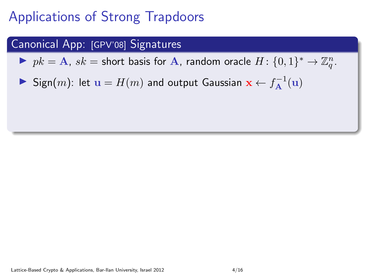#### Canonical App: [GPV'08] Signatures

▶  $pk = A$ ,  $sk =$  short basis for A, random oracle  $H: \{0, 1\}^* \rightarrow \mathbb{Z}_q^n$ .

▶ Sign $(m)$ : let  $\mathbf{u} = H(m)$  and output Gaussian  $\mathbf{x} \leftarrow f_{\mathbf{A}}^{-1}(\mathbf{u})$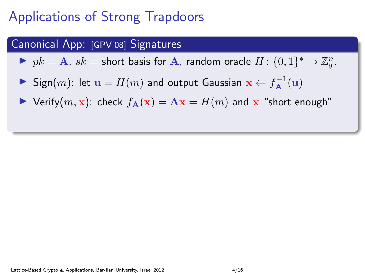#### Canonical App: [GPV'08] Signatures

▶  $pk = A$ ,  $sk =$  short basis for A, random oracle  $H: \{0, 1\}^* \rightarrow \mathbb{Z}_q^n$ .

- ▶ Sign $(m)$ : let  $\mathbf{u} = H(m)$  and output Gaussian  $\mathbf{x} \leftarrow f_{\mathbf{A}}^{-1}(\mathbf{u})$
- $\blacktriangleright$  Verify $(m, x)$ : check  $f_{\mathbf{A}}(x) = \mathbf{A}x = H(m)$  and x "short enough"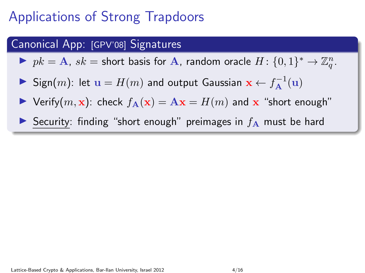#### Canonical App: [GPV'08] Signatures

▶  $pk = A$ ,  $sk =$  short basis for A, random oracle  $H: \{0, 1\}^* \rightarrow \mathbb{Z}_q^n$ .

- ▶ Sign $(m)$ : let  $\mathbf{u} = H(m)$  and output Gaussian  $\mathbf{x} \leftarrow f_{\mathbf{A}}^{-1}(\mathbf{u})$
- $\triangleright$  Verify $(m, x)$ : check  $f_{\mathbf{A}}(x) = \mathbf{A}x = H(m)$  and x "short enough"
- Security: finding "short enough" preimages in  $f_A$  must be hard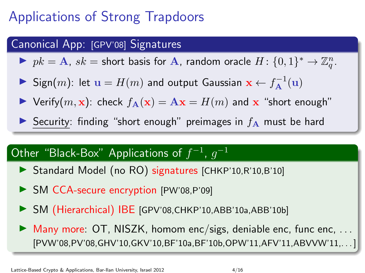#### Canonical App: [GPV'08] Signatures

▶  $pk = A$ ,  $sk =$  short basis for A, random oracle  $H: \{0, 1\}^* \rightarrow \mathbb{Z}_q^n$ .

- ▶ Sign $(m)$ : let  $\mathbf{u} = H(m)$  and output Gaussian  $\mathbf{x} \leftarrow f_{\mathbf{A}}^{-1}(\mathbf{u})$
- $\blacktriangleright$  Verify $(m, x)$ : check  $f_{\mathbf{A}}(x) = \mathbf{A}x = H(m)$  and x "short enough"
- Security: finding "short enough" preimages in  $f_A$  must be hard

### Other "Black-Box" Applications of  $f^{-1}$ ,  $g^{-1}$

- ▶ Standard Model (no RO) signatures [CHKP'10,R'10,B'10]
- In SM CCA-secure encryption [PW'08,P'09]
- ▶ SM (Hierarchical) IBE [GPV'08,CHKP'10,ABB'10a,ABB'10b]
- $\triangleright$  Many more: OT, NISZK, homom enc/sigs, deniable enc, func enc, ... [PVW'08,PV'08,GHV'10,GKV'10,BF'10a,BF'10b,OPW'11,AFV'11,ABVVW'11,...]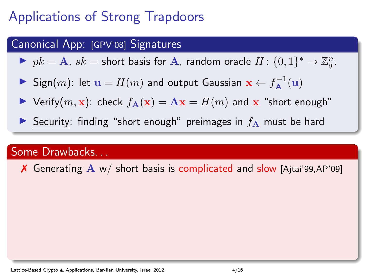#### Canonical App: [GPV'08] Signatures

▶  $pk = A$ ,  $sk =$  short basis for A, random oracle  $H: \{0, 1\}^* \rightarrow \mathbb{Z}_q^n$ .

- ▶ Sign $(m)$ : let  $\mathbf{u} = H(m)$  and output Gaussian  $\mathbf{x} \leftarrow f_{\mathbf{A}}^{-1}(\mathbf{u})$
- **If** Verify $(m, x)$ : check  $f_A(x) = Ax = H(m)$  and x "short enough"
- Security: finding "short enough" preimages in  $f_A$  must be hard

#### Some Drawbacks. . .

 $\chi$  Generating  $\Lambda$  w/ short basis is complicated and slow [Ajtai'99,AP'09]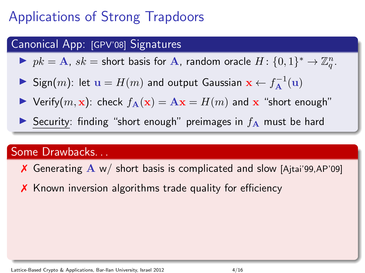#### Canonical App: [GPV'08] Signatures

▶  $pk = A$ ,  $sk =$  short basis for A, random oracle  $H: \{0, 1\}^* \rightarrow \mathbb{Z}_q^n$ .

- ▶ Sign $(m)$ : let  $\mathbf{u} = H(m)$  and output Gaussian  $\mathbf{x} \leftarrow f_{\mathbf{A}}^{-1}(\mathbf{u})$
- **If** Verify $(m, x)$ : check  $f_A(x) = Ax = H(m)$  and x "short enough"
- Security: finding "short enough" preimages in  $f_A$  must be hard

#### Some Drawbacks. . .

- $\overline{X}$  Generating  $\overline{A}$  w/ short basis is complicated and slow [Ajtai'99,AP'09]
- ✗ Known inversion algorithms trade quality for efficiency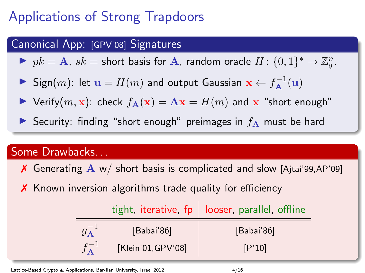#### Canonical App: [GPV'08] Signatures

▶  $pk = A$ ,  $sk =$  short basis for A, random oracle  $H: \{0, 1\}^* \rightarrow \mathbb{Z}_q^n$ .

- ▶ Sign $(m)$ : let  $\mathbf{u} = H(m)$  and output Gaussian  $\mathbf{x} \leftarrow f_{\mathbf{A}}^{-1}(\mathbf{u})$
- **If** Verify $(m, x)$ : check  $f_A(x) = Ax = H(m)$  and x "short enough"
- Security: finding "short enough" preimages in  $f_A$  must be hard

#### Some Drawbacks. . .

- $\overline{X}$  Generating  $\overline{A}$  w/ short basis is complicated and slow [Ajtai'99,AP'09]
- ✗ Known inversion algorithms trade quality for efficiency

|                    | tight, iterative, $fp$   looser, parallel, offline |
|--------------------|----------------------------------------------------|
| [Babai'86]         | [Babai'86]                                         |
| [Klein'01, GPV'08] | [P'10]                                             |

Lattice-Based Crypto & Applications, Bar-Ilan University, Israel 2012 4/16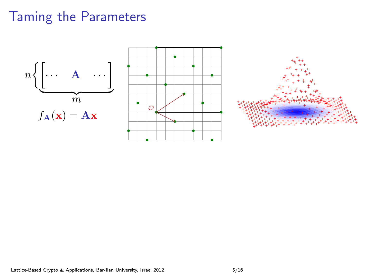



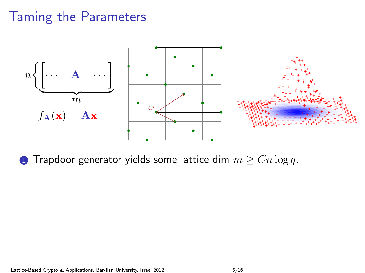

**1** Trapdoor generator yields some lattice dim  $m \geq Cn \log q$ .

Lattice-Based Crypto & Applications, Bar-Ilan University, Israel 2012 5/16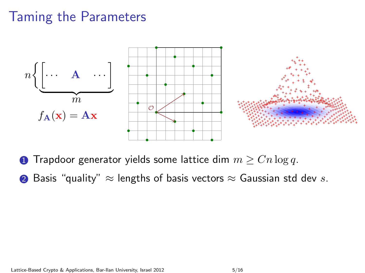

**1** Trapdoor generator yields some lattice dim  $m \geq Cn \log q$ .

**②** Basis "quality"  $\approx$  lengths of basis vectors  $\approx$  Gaussian std dev s.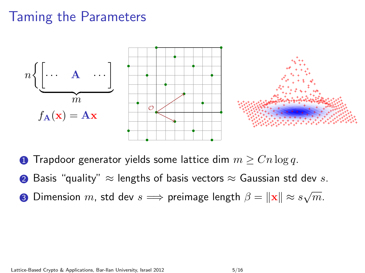

**1** Trapdoor generator yields some lattice dim  $m \geq Cn \log q$ .

- **②** Basis "quality"  $\approx$  lengths of basis vectors  $\approx$  Gaussian std dev s.
- $\bullet$  Dimension  $m$ , std dev  $s \Longrightarrow$  preimage length  $\beta = \|\mathbf{x}\| \approx s\sqrt{m}.$

Lattice-Based Crypto & Applications, Bar-Ilan University, Israel 2012 5/16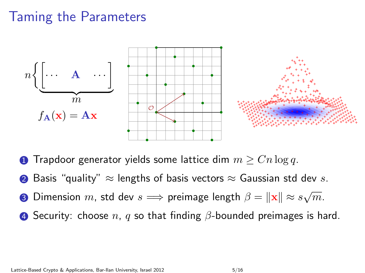

**1** Trapdoor generator yields some lattice dim  $m \geq Cn \log q$ .

- **②** Basis "quality"  $\approx$  lengths of basis vectors  $\approx$  Gaussian std dev s.
- $\bullet$  Dimension  $m$ , std dev  $s \Longrightarrow$  preimage length  $\beta = \|\mathbf{x}\| \approx s\sqrt{m}.$
- **4** Security: choose n, q so that finding  $\beta$ -bounded preimages is hard.

Lattice-Based Crypto & Applications, Bar-Ilan University, Israel 2012 5/16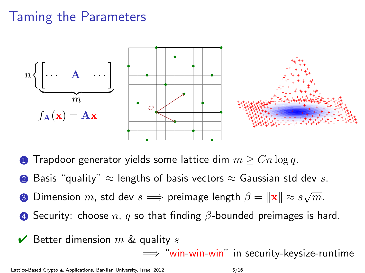

**1** Trapdoor generator yields some lattice dim  $m \geq Cn \log q$ .

- **②** Basis "quality"  $\approx$  lengths of basis vectors  $\approx$  Gaussian std dev s.
- $\bullet$  Dimension  $m$ , std dev  $s \Longrightarrow$  preimage length  $\beta = \|\mathbf{x}\| \approx s\sqrt{m}.$
- **4** Security: choose n, q so that finding  $\beta$ -bounded preimages is hard.
- $\vee$  Better dimension m & quality s

 $\implies$  "win-win-win" in security-keysize-runtime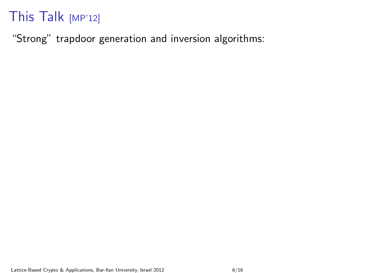"Strong" trapdoor generation and inversion algorithms: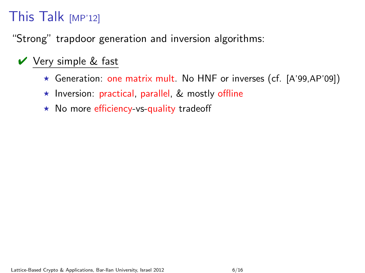"Strong" trapdoor generation and inversion algorithms:

### $\vee$  Very simple & fast

- $\star$  Generation: one matrix mult. No HNF or inverses (cf. [A'99,AP'09])
- $\star$  Inversion: practical, parallel, & mostly offline
- $\star$  No more efficiency-vs-quality tradeoff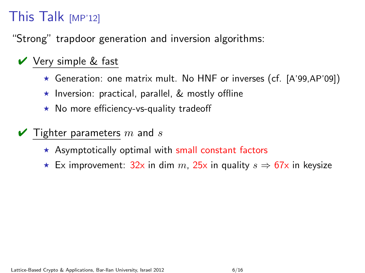"Strong" trapdoor generation and inversion algorithms:

### $\vee$  Very simple & fast

- $\star$  Generation: one matrix mult. No HNF or inverses (cf. [A'99,AP'09])
- $\star$  Inversion: practical, parallel, & mostly offline
- $\star$  No more efficiency-vs-quality tradeoff
- $\blacktriangleright$  Tighter parameters m and s
	- $\star$  Asymptotically optimal with small constant factors
	- ★ Ex improvement:  $32x$  in dim m,  $25x$  in quality  $s \Rightarrow 67x$  in keysize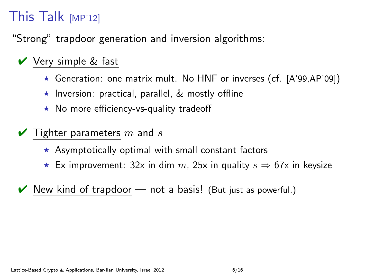"Strong" trapdoor generation and inversion algorithms:

### $\vee$  Very simple & fast

- $\star$  Generation: one matrix mult. No HNF or inverses (cf. [A'99,AP'09])
- $\star$  Inversion: practical, parallel, & mostly offline
- $\star$  No more efficiency-vs-quality tradeoff
- $\blacktriangleright$  Tighter parameters m and s
	- $\star$  Asymptotically optimal with small constant factors
	- ★ Ex improvement: 32x in dim  $m$ , 25x in quality  $s \Rightarrow 67x$  in keysize
- New kind of trapdoor  $-$  not a basis! (But just as powerful.)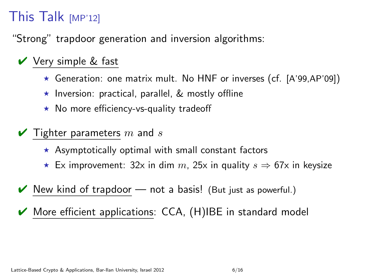"Strong" trapdoor generation and inversion algorithms:

### $\vee$  Very simple & fast

- $\star$  Generation: one matrix mult. No HNF or inverses (cf. [A'99,AP'09])
- $\star$  Inversion: practical, parallel, & mostly offline
- $\star$  No more efficiency-vs-quality tradeoff
- $\blacktriangleright$  Tighter parameters m and s
	- $\star$  Asymptotically optimal with small constant factors
	- ★ Ex improvement: 32x in dim  $m$ , 25x in quality  $s \Rightarrow 67x$  in keysize
- New kind of trapdoor  $-$  not a basis! (But just as powerful.)
- $\vee$  More efficient applications: CCA,  $(H)$ IBE in standard model

Lattice-Based Crypto & Applications, Bar-Ilan University, Israel 2012 6/16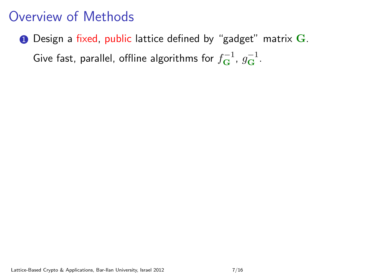### Overview of Methods

 $\bullet$  Design a fixed, public lattice defined by "gadget" matrix  $\mathbf{G}$ . Give fast, parallel, offline algorithms for  $f_{\bf G}^{-1}$ ,  $g_{\bf G}^{-1}$ .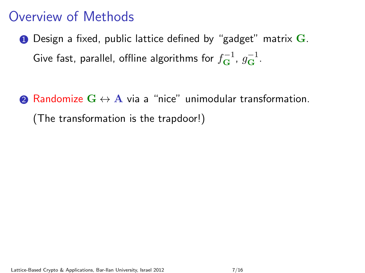### Overview of Methods

- $\bullet$  Design a fixed, public lattice defined by "gadget" matrix  $\mathbf{G}$ . Give fast, parallel, offline algorithms for  $f_{\bf G}^{-1}$ ,  $g_{\bf G}^{-1}$ .
- **2** Randomize  $G \leftrightarrow A$  via a "nice" unimodular transformation. (The transformation is the trapdoor!)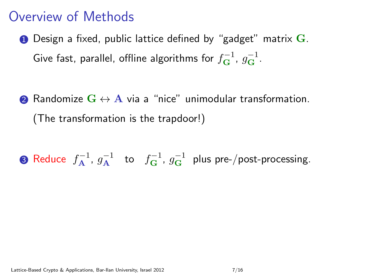### Overview of Methods

- $\bullet$  Design a fixed, public lattice defined by "gadget" matrix  $\mathbf{G}$ . Give fast, parallel, offline algorithms for  $f_{\bf G}^{-1}$ ,  $g_{\bf G}^{-1}$ .
- 2 Randomize  $G \leftrightarrow A$  via a "nice" unimodular transformation. (The transformation is the trapdoor!)

**3** Reduce  $f_{\mathbf{A}}^{-1}$ ,  $g_{\mathbf{A}}^{-1}$  to  $f_{\mathbf{G}}^{-1}$ ,  $g_{\mathbf{G}}^{-1}$  plus pre-/post-processing.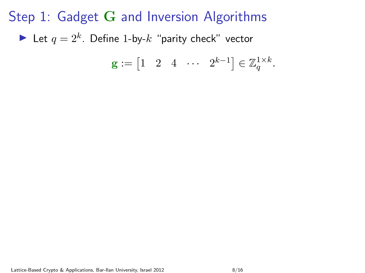Step 1: Gadget G and Inversion Algorithms Let  $q = 2^k$ . Define 1-by- $k$  "parity check" vector

$$
\mathbf{g} := \begin{bmatrix} 1 & 2 & 4 & \cdots & 2^{k-1} \end{bmatrix} \in \mathbb{Z}_q^{1 \times k}.
$$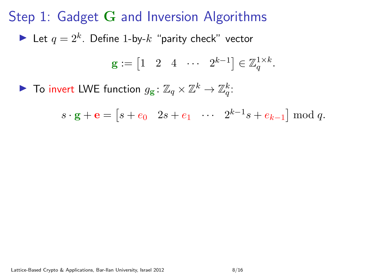Step 1: Gadget G and Inversion Algorithms Let  $q = 2^k$ . Define 1-by- $k$  "parity check" vector

$$
\mathbf{g} := \begin{bmatrix} 1 & 2 & 4 & \cdots & 2^{k-1} \end{bmatrix} \in \mathbb{Z}_q^{1 \times k}.
$$

▶ To invert LWE function  $g_{\mathbf{g}}: \mathbb{Z}_q \times \mathbb{Z}^k \to \mathbb{Z}_q^k$ :

 $s \cdot \mathbf{g} + \mathbf{e} = [s + e_0 \quad 2s + e_1 \quad \cdots \quad 2^{k-1} s + e_{k-1}] \mod q.$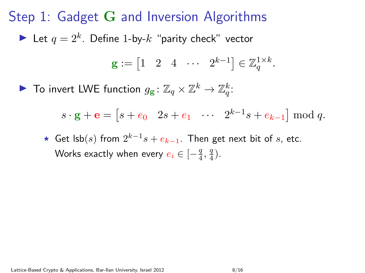Step 1: Gadget G and Inversion Algorithms Let  $q = 2^k$ . Define 1-by- $k$  "parity check" vector  $\mathbf{g} := \begin{bmatrix} 1 & 2 & 4 & \cdots & 2^{k-1} \end{bmatrix} \in \mathbb{Z}_q^{1 \times k}.$ 

▶ To invert LWE function  $g_{\mathbf{g}}: \mathbb{Z}_q \times \mathbb{Z}^k \to \mathbb{Z}_q^k$ :

 $s \cdot \mathbf{g} + \mathbf{e} = [s + e_0 \quad 2s + e_1 \quad \cdots \quad 2^{k-1} s + e_{k-1}] \mod q.$ 

★ Get lsb $(s)$  from  $2^{k-1}s + e_{k-1}$ . Then get next bit of s, etc. Works exactly when every  $e_i \in [-\frac{q}{4},\frac{q}{4}).$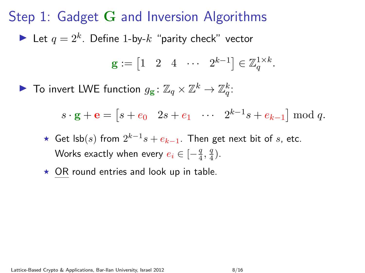Step 1: Gadget G and Inversion Algorithms Let  $q = 2^k$ . Define 1-by- $k$  "parity check" vector  $\mathbf{g} := \begin{bmatrix} 1 & 2 & 4 & \cdots & 2^{k-1} \end{bmatrix} \in \mathbb{Z}_q^{1 \times k}.$ 

▶ To invert LWE function  $g_{\mathbf{g}}: \mathbb{Z}_q \times \mathbb{Z}^k \to \mathbb{Z}_q^k$ :

 $s \cdot \mathbf{g} + \mathbf{e} = [s + e_0 \quad 2s + e_1 \quad \cdots \quad 2^{k-1} s + e_{k-1}] \mod q.$ 

- ★ Get lsb $(s)$  from  $2^{k-1}s + e_{k-1}$ . Then get next bit of s, etc. Works exactly when every  $e_i \in [-\frac{q}{4},\frac{q}{4}).$
- $\star$  OR round entries and look up in table.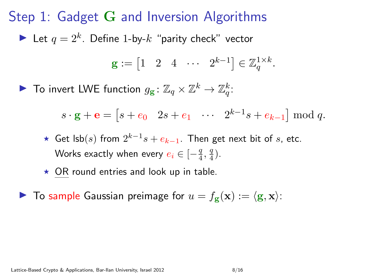Step 1: Gadget G and Inversion Algorithms Let  $q = 2^k$ . Define 1-by- $k$  "parity check" vector

$$
\mathbf{g} := \begin{bmatrix} 1 & 2 & 4 & \cdots & 2^{k-1} \end{bmatrix} \in \mathbb{Z}_q^{1 \times k}.
$$

▶ To invert LWE function  $g_{\mathbf{g}}: \mathbb{Z}_q \times \mathbb{Z}^k \to \mathbb{Z}_q^k$ :

 $s \cdot \mathbf{g} + \mathbf{e} = [s + e_0 \quad 2s + e_1 \quad \cdots \quad 2^{k-1} s + e_{k-1}] \mod q.$ 

- ★ Get lsb $(s)$  from  $2^{k-1}s + e_{k-1}$ . Then get next bit of s, etc. Works exactly when every  $e_i \in [-\frac{q}{4},\frac{q}{4}).$
- $\star$  OR round entries and look up in table.

 $\triangleright$  To sample Gaussian preimage for  $u = f_{\mathbf{g}}(\mathbf{x}) := \langle \mathbf{g}, \mathbf{x} \rangle$ :

Lattice-Based Crypto & Applications, Bar-Ilan University, Israel 2012 6/16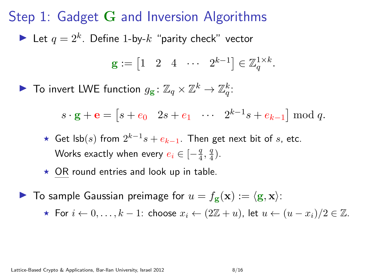Step 1: Gadget G and Inversion Algorithms Let  $q = 2^k$ . Define 1-by- $k$  "parity check" vector

$$
\mathbf{g} := \begin{bmatrix} 1 & 2 & 4 & \cdots & 2^{k-1} \end{bmatrix} \in \mathbb{Z}_q^{1 \times k}.
$$

▶ To invert LWE function  $g_{\mathbf{g}}: \mathbb{Z}_q \times \mathbb{Z}^k \to \mathbb{Z}_q^k$ :

 $s \cdot \mathbf{g} + \mathbf{e} = [s + e_0 \quad 2s + e_1 \quad \cdots \quad 2^{k-1} s + e_{k-1}] \mod q.$ 

- ★ Get lsb $(s)$  from  $2^{k-1}s + e_{k-1}$ . Then get next bit of s, etc. Works exactly when every  $e_i \in [-\frac{q}{4},\frac{q}{4}).$
- $\star$  OR round entries and look up in table.
- $\blacktriangleright$  To sample Gaussian preimage for  $u = f_{\mathbf{g}}(\mathbf{x}) := \langle \mathbf{g}, \mathbf{x} \rangle$ :

**★ For**  $i \leftarrow 0, \ldots, k - 1$ : choose  $x_i \leftarrow (2\mathbb{Z} + u)$ , let  $u \leftarrow (u - x_i)/2 \in \mathbb{Z}$ .

Lattice-Based Crypto & Applications, Bar-Ilan University, Israel 2012 6/16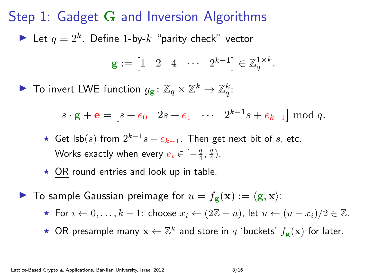Step 1: Gadget G and Inversion Algorithms Let  $q = 2^k$ . Define 1-by- $k$  "parity check" vector

$$
\mathbf{g} := \begin{bmatrix} 1 & 2 & 4 & \cdots & 2^{k-1} \end{bmatrix} \in \mathbb{Z}_q^{1 \times k}.
$$

▶ To invert LWE function  $g_{\mathbf{g}}: \mathbb{Z}_q \times \mathbb{Z}^k \to \mathbb{Z}_q^k$ :

 $s \cdot \mathbf{g} + \mathbf{e} = [s + e_0 \quad 2s + e_1 \quad \cdots \quad 2^{k-1} s + e_{k-1}] \mod q.$ 

- ★ Get lsb $(s)$  from  $2^{k-1}s + e_{k-1}$ . Then get next bit of s, etc. Works exactly when every  $e_i \in [-\frac{q}{4},\frac{q}{4}).$
- $\star$  OR round entries and look up in table.
- $\blacktriangleright$  To sample Gaussian preimage for  $u = f_{\mathbf{g}}(\mathbf{x}) := \langle \mathbf{g}, \mathbf{x} \rangle$ :
	- **★ For**  $i \leftarrow 0, \ldots, k-1$ : choose  $x_i \leftarrow (2\mathbb{Z}+u)$ , let  $u \leftarrow (u-x_i)/2 \in \mathbb{Z}$ .
	- ★ OR presample many  $\mathbf{x} \leftarrow \mathbb{Z}^k$  and store in  $q$  'buckets'  $f_{\mathbf{g}}(\mathbf{x})$  for later.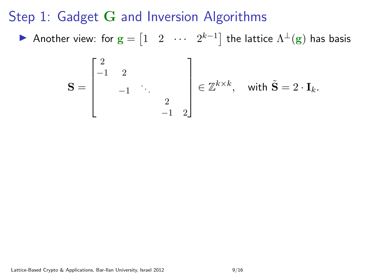▶ Another view: for  $\mathbf{g} = \begin{bmatrix} 1 & 2 & \cdots & 2^{k-1} \end{bmatrix}$  the lattice  $\Lambda^\perp(\mathbf{g})$  has basis

$$
\mathbf{S} = \begin{bmatrix} 2 & & & \\ -1 & 2 & & \\ & -1 & \ddots & \\ & & 2 & \\ & & -1 & 2 \end{bmatrix} \in \mathbb{Z}^{k \times k}, \text{ with } \tilde{\mathbf{S}} = 2 \cdot \mathbf{I}_k.
$$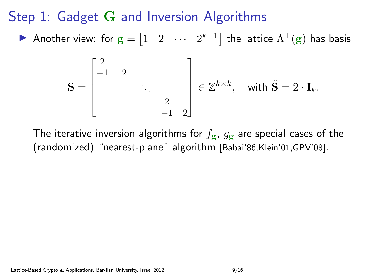▶ Another view: for  $\mathbf{g} = \begin{bmatrix} 1 & 2 & \cdots & 2^{k-1} \end{bmatrix}$  the lattice  $\Lambda^\perp(\mathbf{g})$  has basis

$$
\mathbf{S} = \begin{bmatrix} 2 & & & \\ -1 & 2 & & \\ & -1 & \ddots & \\ & & 2 & \\ & & -1 & 2 \end{bmatrix} \in \mathbb{Z}^{k \times k}, \text{ with } \tilde{\mathbf{S}} = 2 \cdot \mathbf{I}_k.
$$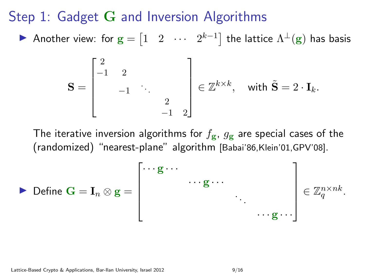▶ Another view: for  $\mathbf{g} = \begin{bmatrix} 1 & 2 & \cdots & 2^{k-1} \end{bmatrix}$  the lattice  $\Lambda^\perp(\mathbf{g})$  has basis

$$
\mathbf{S} = \begin{bmatrix} 2 & & & \\ -1 & 2 & & \\ & -1 & \ddots & \\ & & 2 & \\ & & -1 & 2 \end{bmatrix} \in \mathbb{Z}^{k \times k}, \text{ with } \tilde{\mathbf{S}} = 2 \cdot \mathbf{I}_k.
$$

$$
\triangleright \text{ Define } \mathbf{G} = \mathbf{I}_n \otimes \mathbf{g} = \begin{bmatrix} \cdots \mathbf{g} \cdots & & \\ & \cdots \mathbf{g} \cdots & \\ & \ddots & \\ & \ddots & \\ & \ddots & \\ & \ddots & \ddots \end{bmatrix} \in \mathbb{Z}_q^{n \times nk}.
$$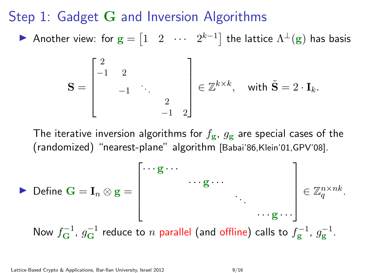▶ Another view: for  $\mathbf{g} = \begin{bmatrix} 1 & 2 & \cdots & 2^{k-1} \end{bmatrix}$  the lattice  $\Lambda^\perp(\mathbf{g})$  has basis

$$
\mathbf{S} = \begin{bmatrix} 2 & & & \\ -1 & 2 & & \\ & -1 & \ddots & \\ & & 2 & \\ & & -1 & 2 \end{bmatrix} \in \mathbb{Z}^{k \times k}, \text{ with } \tilde{\mathbf{S}} = 2 \cdot \mathbf{I}_k.
$$

$$
\triangleright \text{ Define } \mathbf{G} = \mathbf{I}_n \otimes \mathbf{g} = \begin{bmatrix} \cdots \mathbf{g} \cdots \\ \cdots \mathbf{g} \cdots \\ \vdots \\ \cdots \mathbf{g} \cdots \end{bmatrix} \in \mathbb{Z}_q^{n \times nk}.
$$
  
Now  $f_{\mathbf{G}}^{-1}$ ,  $g_{\mathbf{G}}^{-1}$  reduce to *n* parallel (and offline) calls to  $f_{\mathbf{g}}^{-1}$ ,  $g_{\mathbf{g}}^{-1}$ .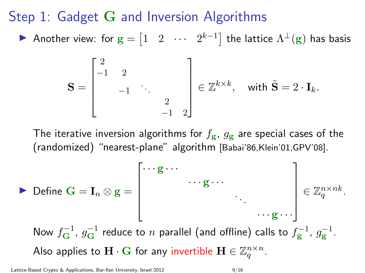▶ Another view: for  $\mathbf{g} = \begin{bmatrix} 1 & 2 & \cdots & 2^{k-1} \end{bmatrix}$  the lattice  $\Lambda^\perp(\mathbf{g})$  has basis

$$
\mathbf{S} = \begin{bmatrix} 2 & & & \\ -1 & 2 & & \\ & -1 & \ddots & \\ & & 2 & \\ & & -1 & 2 \end{bmatrix} \in \mathbb{Z}^{k \times k}, \text{ with } \tilde{\mathbf{S}} = 2 \cdot \mathbf{I}_k.
$$

Define 
$$
\mathbf{G} = \mathbf{I}_n \otimes \mathbf{g} = \begin{bmatrix} \cdots \mathbf{g} \cdots & \cdots & \cdots \\ \cdots \mathbf{g} \cdots & \cdots \\ \vdots & \ddots \\ \vdots & \ddots \\ \vdots \\ \vdots \\ \vdots \\ \vdots \end{bmatrix} \in \mathbb{Z}_q^{n \times nk}.
$$

\nNow  $f_{\mathbf{G}}^{-1}$ ,  $g_{\mathbf{G}}^{-1}$  reduce to *n* parallel (and offline) calls to  $f_{\mathbf{g}}^{-1}$ ,  $g_{\mathbf{g}}^{-1}$ .

\nAlso applies to  $\mathbf{H} \cdot \mathbf{G}$  for any invertible  $\mathbf{H} \in \mathbb{Z}_q^{n \times n}$ .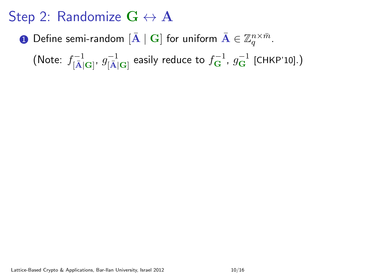$\bf D$  Define semi-random  $[{\bf \bar A}\mid {\bf G}]$  for uniform  ${\bf \bar A}\in \mathbb Z_q^{n\times \bar m}.$ 

(Note:  $f^{-1}_{[\bar{\rm A}]{\rm {\bf G}}]}$ ,  $g^{-1}_{[\bar{\rm A}]{\rm {\bf G}}]}$  easily reduce to  $f^{-1}_{\rm G}$ ,  $g^{-1}_{\rm G}$  [CHKP'10].)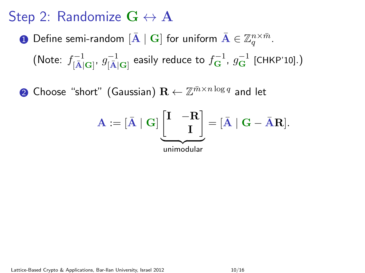$\bf D$  Define semi-random  $[{\bf \bar A}\mid {\bf G}]$  for uniform  ${\bf \bar A}\in \mathbb Z_q^{n\times \bar m}.$ 

(Note:  $f^{-1}_{[\bar{\rm A}]{\rm {\bf G}}]}$ ,  $g^{-1}_{[\bar{\rm A}]{\rm {\bf G}}]}$  easily reduce to  $f^{-1}_{\rm G}$ ,  $g^{-1}_{\rm G}$  [CHKP'10].)

 $\mathbf 2$  Choose "short" (Gaussian)  $\mathbf R \leftarrow \mathbb Z^{\bar m \times n \log q}$  and let

$$
\mathbf{A} := [\bar{\mathbf{A}} \mid \mathbf{G}] \underbrace{\begin{bmatrix} \mathbf{I} & -\mathbf{R} \\ & \mathbf{I} \end{bmatrix}}_{\text{unimodular}} = [\bar{\mathbf{A}} \mid \mathbf{G} - \bar{\mathbf{A}} \mathbf{R}].
$$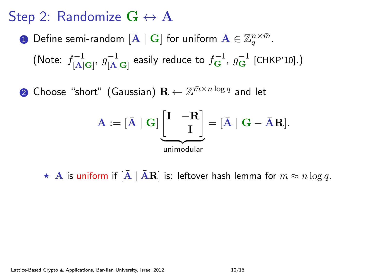$\bf D$  Define semi-random  $[{\bf \bar A}\mid {\bf G}]$  for uniform  ${\bf \bar A}\in \mathbb Z_q^{n\times \bar m}.$ 

(Note:  $f^{-1}_{[\bar{\rm A}]{\rm {\bf G}}]}$ ,  $g^{-1}_{[\bar{\rm A}]{\rm {\bf G}}]}$  easily reduce to  $f^{-1}_{\rm G}$ ,  $g^{-1}_{\rm G}$  [CHKP'10].)

 $\mathbf 2$  Choose "short" (Gaussian)  $\mathbf R \leftarrow \mathbb Z^{\bar m \times n \log q}$  and let

$$
\mathbf{A} := [\bar{\mathbf{A}} \mid \mathbf{G}] \underbrace{\begin{bmatrix} \mathbf{I} & -\mathbf{R} \\ & \mathbf{I} \end{bmatrix}}_{\text{unimodular}} = [\bar{\mathbf{A}} \mid \mathbf{G} - \bar{\mathbf{A}} \mathbf{R}].
$$

 $\star$  A is uniform if  $[{\bf \overline{A}} \mid {\bf \overline{A}R}]$  is: leftover hash lemma for  $\bar{m} \approx n \log q$ .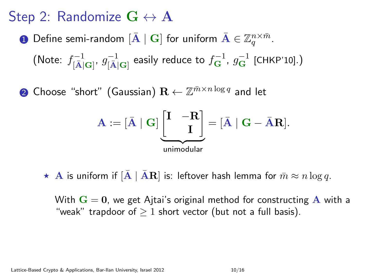$\bf D$  Define semi-random  $[{\bf \bar A}\mid {\bf G}]$  for uniform  ${\bf \bar A}\in \mathbb Z_q^{n\times \bar m}.$ 

(Note:  $f^{-1}_{[\bar{\rm A}]{\rm {\bf G}}]}$ ,  $g^{-1}_{[\bar{\rm A}]{\rm {\bf G}}]}$  easily reduce to  $f^{-1}_{\rm G}$ ,  $g^{-1}_{\rm G}$  [CHKP'10].)

 $\mathbf 2$  Choose "short" (Gaussian)  $\mathbf R \leftarrow \mathbb Z^{\bar m \times n \log q}$  and let

$$
\mathbf{A} := [\bar{\mathbf{A}} \mid \mathbf{G}] \underbrace{\begin{bmatrix} \mathbf{I} & -\mathbf{R} \\ & \mathbf{I} \end{bmatrix}}_{\text{unimodular}} = [\bar{\mathbf{A}} \mid \mathbf{G} - \bar{\mathbf{A}} \mathbf{R}].
$$

 $\star$  A is uniform if  $[A \mid AR]$  is: leftover hash lemma for  $\bar{m} \approx n \log q$ .

With  $G = 0$ , we get Ajtai's original method for constructing A with a "weak" trapdoor of  $> 1$  short vector (but not a full basis).

Lattice-Based Crypto & Applications, Bar-Ilan University, Israel 2012 10:16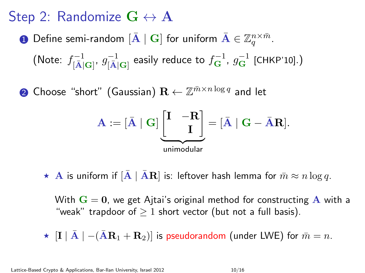$\bf D$  Define semi-random  $[{\bf \bar A}\mid {\bf G}]$  for uniform  ${\bf \bar A}\in \mathbb Z_q^{n\times \bar m}.$ 

(Note:  $f^{-1}_{[\bar{\rm A}]{\rm {\bf G}}]}$ ,  $g^{-1}_{[\bar{\rm A}]{\rm {\bf G}}]}$  easily reduce to  $f^{-1}_{\rm G}$ ,  $g^{-1}_{\rm G}$  [CHKP'10].)

 $\mathbf 2$  Choose "short" (Gaussian)  $\mathbf R \leftarrow \mathbb Z^{\bar m \times n \log q}$  and let

$$
\mathbf{A} := [\bar{\mathbf{A}} \mid \mathbf{G}] \underbrace{\begin{bmatrix} \mathbf{I} & -\mathbf{R} \\ & \mathbf{I} \end{bmatrix}}_{\text{unimodular}} = [\bar{\mathbf{A}} \mid \mathbf{G} - \bar{\mathbf{A}} \mathbf{R}].
$$

 $\star$  A is uniform if  $[A \mid AR]$  is: leftover hash lemma for  $\bar{m} \approx n \log q$ .

With  $G = 0$ , we get Ajtai's original method for constructing A with a "weak" trapdoor of  $> 1$  short vector (but not a full basis).

 $\star$   $\left| \mathbf{I} \mid \bar{\mathbf{A}} \mid -(\bar{\mathbf{A}}\mathbf{R}_1 + \mathbf{R}_2)\right|$  is pseudorandom (under LWE) for  $\bar{m} = n$ .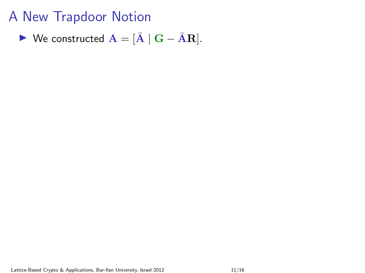$$
\blacktriangleright \text{ We constructed } \mathbf{A} = [\bar{\mathbf{A}} \mid \mathbf{G} - \bar{\mathbf{A}} \mathbf{R}].
$$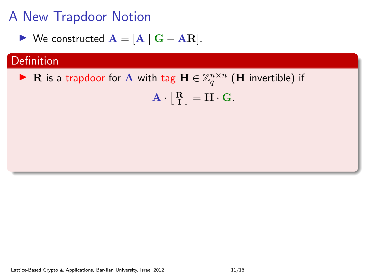$$
\blacktriangleright \text{ We constructed } \mathbf{A} = [\bar{\mathbf{A}} \mid \mathbf{G} - \bar{\mathbf{A}} \mathbf{R}].
$$

### Definition

▶ R is a trapdoor for A with tag  $\mathbf{H} \in \mathbb{Z}_q^{n \times n}$  (H invertible) if  $\mathbf{A} \cdot \begin{bmatrix} \mathbf{R} \\ \mathbf{I} \end{bmatrix} = \mathbf{H} \cdot \mathbf{G}.$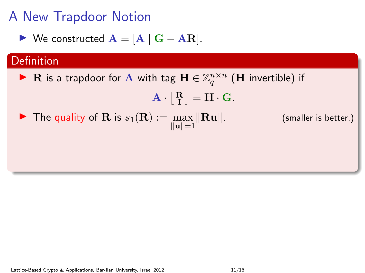$$
\blacktriangleright \text{ We constructed } \mathbf{A} = [\bar{\mathbf{A}} \mid \mathbf{G} - \bar{\mathbf{A}} \mathbf{R}].
$$

### **Definition**

▶ R is a trapdoor for A with tag  $\mathbf{H} \in \mathbb{Z}_q^{n \times n}$  (H invertible) if

$$
\mathbf{A} \cdot \left[ \begin{array}{c} \mathbf{R} \\ \mathbf{I} \end{array} \right] = \mathbf{H} \cdot \mathbf{G}.
$$

The quality of **R** is  $s_1(\mathbf{R}) := \max_{\|\mathbf{u}\|=1}$ 

(smaller is better.)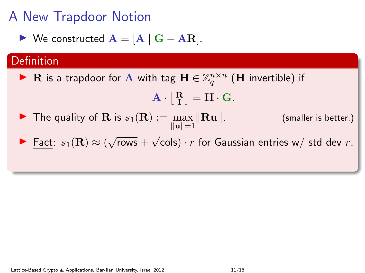$$
\blacktriangleright \text{ We constructed } \mathbf{A} = [\bar{\mathbf{A}} \mid \mathbf{G} - \bar{\mathbf{A}} \mathbf{R}].
$$

### **Definition**

▶ R is a trapdoor for A with tag  $\mathbf{H} \in \mathbb{Z}_q^{n \times n}$  (H invertible) if

$$
\mathbf{A} \cdot \begin{bmatrix} \mathbf{R} \\ \mathbf{I} \end{bmatrix} = \mathbf{H} \cdot \mathbf{G}.
$$

- $\blacktriangleright$  The quality of **R** is  $s_1(\mathbf{R}) := \max ||\mathbf{R}\mathbf{u}||$ .  $\|u\|=1$ (smaller is better.)
- **►** Fact:  $s_1(\mathbf{R}) \approx (\sqrt{\ }$  $rows +$ √ cols)  $\cdot$   $r$  for Gaussian entries w/ std dev  $r.$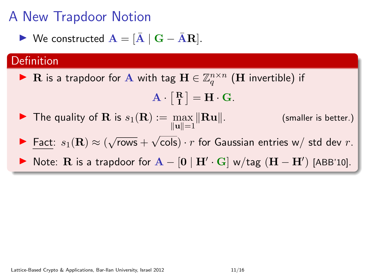$$
\blacktriangleright \text{ We constructed } \mathbf{A} = [\bar{\mathbf{A}} \mid \mathbf{G} - \bar{\mathbf{A}} \mathbf{R}].
$$

#### Definition

▶ R is a trapdoor for A with tag  $\mathbf{H} \in \mathbb{Z}_q^{n \times n}$  (H invertible) if

$$
\mathbf{A} \cdot \begin{bmatrix} \mathbf{R} \\ \mathbf{I} \end{bmatrix} = \mathbf{H} \cdot \mathbf{G}.
$$

- $\blacktriangleright$  The quality of **R** is  $s_1(\mathbf{R}) := \max ||\mathbf{R}\mathbf{u}||$ .  $\|u\|=1$ (smaller is better.)
- **►** Fact:  $s_1(\mathbf{R}) \approx (\sqrt{\ }$  $rows +$ √ cols)  $\cdot$   $r$  for Gaussian entries w/ std dev  $r.$
- ▶ Note: R is a trapdoor for  $A [0 | H' \cdot G]$  w/tag  $(H H')$  [ABB'10].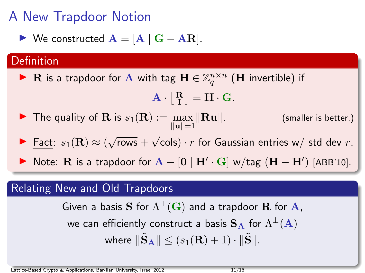$$
\blacktriangleright \text{ We constructed } \mathbf{A} = [\bar{\mathbf{A}} \mid \mathbf{G} - \bar{\mathbf{A}} \mathbf{R}].
$$

#### Definition

▶ R is a trapdoor for A with tag  $\mathbf{H} \in \mathbb{Z}_q^{n \times n}$  (H invertible) if

$$
\mathbf{A} \cdot \begin{bmatrix} \mathbf{R} \\ \mathbf{I} \end{bmatrix} = \mathbf{H} \cdot \mathbf{G}.
$$

- $\blacktriangleright$  The quality of **R** is  $s_1(\mathbf{R}) := \max ||\mathbf{R}\mathbf{u}||$ .  $\|u\|=1$ (smaller is better.)
- **►** Fact:  $s_1(\mathbf{R}) \approx (\sqrt{\ }$  $rows +$ √ cols)  $\cdot$   $r$  for Gaussian entries w/ std dev  $r.$
- ▶ Note: R is a trapdoor for  $A [0 | H' \cdot G]$  w/tag  $(H H')$  [ABB'10].

#### Relating New and Old Trapdoors

Given a basis  $\mathbf S$  for  $\Lambda^\perp(\mathbf G)$  and a trapdoor  $\mathbf R$  for  $\mathbf A,$ we can efficiently construct a basis  $\mathbf{S}_{\mathbf{A}}$  for  $\Lambda^{\perp}(\mathbf{A})$ where  $\|\tilde{\mathbf{S}}_{\mathbf{A}}\| \leq (s_1(\mathbf{R}) + 1) \cdot \|\tilde{\mathbf{S}}\|.$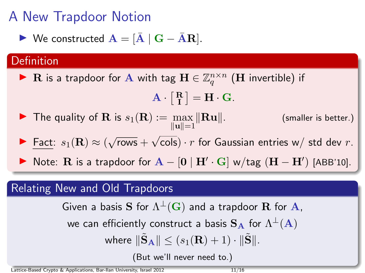$$
\blacktriangleright \text{ We constructed } \mathbf{A} = [\bar{\mathbf{A}} \mid \mathbf{G} - \bar{\mathbf{A}} \mathbf{R}].
$$

#### **Definition**

▶ R is a trapdoor for A with tag  $\mathbf{H} \in \mathbb{Z}_q^{n \times n}$  (H invertible) if

$$
\mathbf{A} \cdot \begin{bmatrix} \mathbf{R} \\ \mathbf{I} \end{bmatrix} = \mathbf{H} \cdot \mathbf{G}.
$$

- $\blacktriangleright$  The quality of **R** is  $s_1(\mathbf{R}) := \max ||\mathbf{R}\mathbf{u}||$ .  $\|u\|=1$ (smaller is better.)
- **►** Fact:  $s_1(\mathbf{R}) \approx (\sqrt{\ }$  $rows +$ √ cols)  $\cdot$   $r$  for Gaussian entries w/ std dev  $r.$
- ▶ Note: R is a trapdoor for  $A [0 | H' \cdot G]$  w/tag  $(H H')$  [ABB'10].

#### Relating New and Old Trapdoors

Given a basis  $\mathbf S$  for  $\Lambda^\perp(\mathbf G)$  and a trapdoor  $\mathbf R$  for  $\mathbf A,$ we can efficiently construct a basis  $\mathbf{S}_{\mathbf{A}}$  for  $\Lambda^{\perp}(\mathbf{A})$ where  $\|\tilde{\mathbf{S}}_{\mathbf{A}}\| \leq (s_1(\mathbf{R}) + 1) \cdot \|\tilde{\mathbf{S}}\|.$ 

(But we'll never need to.)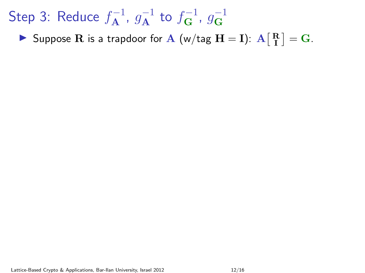Suppose R is a trapdoor for A (w/tag  $H = I$ ):  $A \begin{bmatrix} R \\ I \end{bmatrix} = G$ .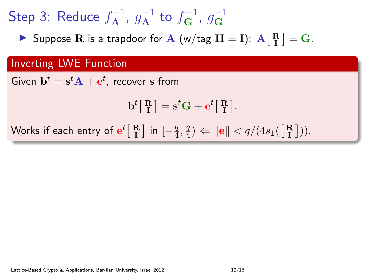Suppose R is a trapdoor for A (w/tag  $H = I$ ):  $A \begin{bmatrix} R \\ I \end{bmatrix} = G$ .

#### Inverting LWE Function

Given  $\mathbf{b}^t = \mathbf{s}^t \mathbf{A} + \mathbf{e}^t$ , recover  $\mathbf s$  from

$$
\mathbf{b}^t \big[ \begin{smallmatrix} \mathbf{R} \\ \mathbf{I} \end{smallmatrix} \big] = \mathbf{s}^t \mathbf{G} + \mathbf{e}^t \big[ \begin{smallmatrix} \mathbf{R} \\ \mathbf{I} \end{smallmatrix} \big].
$$

Works if each entry of  $\mathbf{e}^t \bigl[ \begin{smallmatrix}\mathbf{R}\ \mathbf{I}\end{smallmatrix} \bigr]$  in  $[-\frac{q}{4}$  $\frac{q}{4}, \frac{q}{4}$  $\left|\frac{q}{4}\right\rangle \Leftarrow \left|\left|\frac{q}{4s_1}\right|\left(\frac{R}{R}\right)\right\rangle.$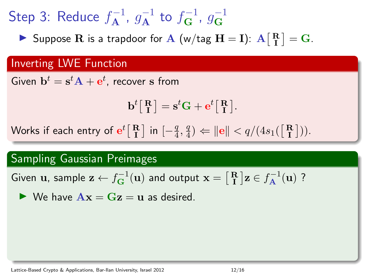Suppose R is a trapdoor for A (w/tag  $H = I$ ):  $A \begin{bmatrix} R \\ I \end{bmatrix} = G$ .

#### Inverting LWE Function

Given  $\mathbf{b}^t = \mathbf{s}^t \mathbf{A} + \mathbf{e}^t$ , recover  $\mathbf s$  from

$$
\mathbf{b}^t \big[ \begin{smallmatrix} \mathbf{R} \\ \mathbf{I} \end{smallmatrix} \big] = \mathbf{s}^t \mathbf{G} + \mathbf{e}^t \big[ \begin{smallmatrix} \mathbf{R} \\ \mathbf{I} \end{smallmatrix} \big].
$$

Works if each entry of  $\mathbf{e}^t \bigl[ \begin{smallmatrix}\mathbf{R}\ \mathbf{I}\end{smallmatrix} \bigr]$  in  $[-\frac{q}{4}$  $\frac{q}{4}, \frac{q}{4}$  $\left|\frac{q}{4}\right\rangle \Leftarrow \left|\left|\frac{q}{4s_1}\right|\left(\frac{R}{R}\right)\right\rangle.$ 

#### Sampling Gaussian Preimages

Given  $\bf{u}$ , sample  $\bf{z} \leftarrow f_{G}^{-1}(\bf{u})$  and output  $\bf{x} = \begin{bmatrix} R \ I \end{bmatrix} \bf{z} \in f_A^{-1}(\bf{u})$  ?

 $\triangleright$  We have  $\mathbf{A}\mathbf{x} = \mathbf{G}\mathbf{z} = \mathbf{u}$  as desired.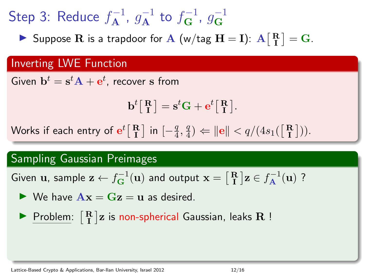Suppose R is a trapdoor for A (w/tag  $H = I$ ):  $A \begin{bmatrix} R \\ I \end{bmatrix} = G$ .

#### Inverting LWE Function

Given  $\mathbf{b}^t = \mathbf{s}^t \mathbf{A} + \mathbf{e}^t$ , recover  $\mathbf s$  from

$$
\mathbf{b}^t \big[ \begin{smallmatrix} \mathbf{R} \\ \mathbf{I} \end{smallmatrix} \big] = \mathbf{s}^t \mathbf{G} + \mathbf{e}^t \big[ \begin{smallmatrix} \mathbf{R} \\ \mathbf{I} \end{smallmatrix} \big].
$$

Works if each entry of  $\mathbf{e}^t \bigl[ \begin{smallmatrix}\mathbf{R}\ \mathbf{I}\end{smallmatrix} \bigr]$  in  $[-\frac{q}{4}$  $\frac{q}{4}, \frac{q}{4}$  $\left|\frac{q}{4}\right\rangle \Leftarrow \left|\left|\frac{q}{4s_1}\right|\left(\frac{R}{R}\right)\right\rangle.$ 

#### Sampling Gaussian Preimages

Given  $\bf{u}$ , sample  $\bf{z} \leftarrow f_{G}^{-1}(\bf{u})$  and output  $\bf{x} = \begin{bmatrix} R \ I \end{bmatrix} \bf{z} \in f_A^{-1}(\bf{u})$  ?

 $\triangleright$  We have  $\mathbf{A}\mathbf{x} = \mathbf{G}\mathbf{z} = \mathbf{u}$  as desired.

 $\blacktriangleright$  Problem:  $\begin{bmatrix} R \ I \end{bmatrix}$ z is non-spherical Gaussian, leaks  $R$ !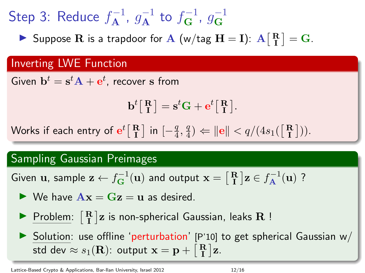Suppose R is a trapdoor for A (w/tag  $H = I$ ):  $A \begin{bmatrix} R \\ I \end{bmatrix} = G$ .

#### Inverting LWE Function

Given  $\mathbf{b}^t = \mathbf{s}^t \mathbf{A} + \mathbf{e}^t$ , recover  $\mathbf s$  from

$$
\mathbf{b}^t \big[ \begin{smallmatrix} \mathbf{R} \\ \mathbf{I} \end{smallmatrix} \big] = \mathbf{s}^t \mathbf{G} + \mathbf{e}^t \big[ \begin{smallmatrix} \mathbf{R} \\ \mathbf{I} \end{smallmatrix} \big].
$$

Works if each entry of  $\mathbf{e}^t \bigl[ \begin{smallmatrix}\mathbf{R}\ \mathbf{I}\end{smallmatrix} \bigr]$  in  $[-\frac{q}{4}$  $\frac{q}{4}, \frac{q}{4}$  $\left|\frac{q}{4}\right\rangle \Leftarrow \left|\left|\frac{q}{4s_1}\right|\left(\frac{R}{R}\right)\right\rangle.$ 

#### Sampling Gaussian Preimages

Given  $\bf{u}$ , sample  $\bf{z} \leftarrow f_{G}^{-1}(\bf{u})$  and output  $\bf{x} = \begin{bmatrix} R \ I \end{bmatrix} \bf{z} \in f_A^{-1}(\bf{u})$  ?

- $\triangleright$  We have  $\mathbf{A}\mathbf{x} = \mathbf{G}\mathbf{z} = \mathbf{u}$  as desired.
- Problem:  $\begin{bmatrix} \mathbf{R} \\ \mathbf{I} \end{bmatrix}$ z is non-spherical Gaussian, leaks  $\mathbf{R}$ !

 $\triangleright$  Solution: use offline 'perturbation' [P'10] to get spherical Gaussian w/ std dev  $\approx s_1({\bf R})$ : output  ${\bf x}={\bf p} + \left[\begin{smallmatrix}{\bf R}\\ {\bf I}\end{smallmatrix}\right]{\bf z}.$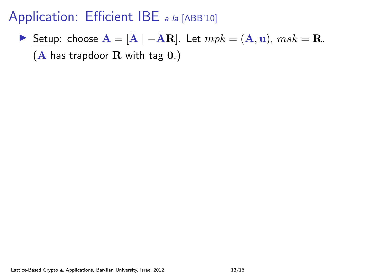**I** Setup: choose  $\mathbf{A} = [\bar{\mathbf{A}} \mid -\bar{\mathbf{A}}\mathbf{R}]$ . Let  $mpk = (\mathbf{A}, \mathbf{u})$ ,  $msk = \mathbf{R}$ .  $(A$  has trapdoor  $R$  with tag  $0.$ )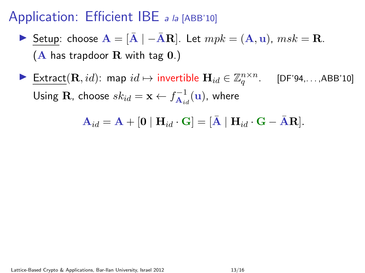- **I** Setup: choose  $\mathbf{A} = [\bar{\mathbf{A}} \mid -\bar{\mathbf{A}}\mathbf{R}]$ . Let  $mpk = (\mathbf{A}, \mathbf{u})$ ,  $msk = \mathbf{R}$ .  $(A$  has trapdoor R with tag  $0.$ )
- **Extract**(**R**, *id*): map  $id \mapsto$  invertible  $\mathbf{H}_{id} \in \mathbb{Z}_q^{n \times n}$ . [DF'94,...,ABB'10] Using  $\mathbf{R}$ , choose  $sk_{id} = \mathbf{x} \leftarrow f_{\mathbf{A}_{id}}^{-1}$  $\overline{\mathbf{A}}_{id}^{-1}(\mathbf{u})$ , where

 $\mathbf{A}_{id} = \mathbf{A} + [\mathbf{0} \mid \mathbf{H}_{id} \cdot \mathbf{G}] = [\mathbf{\bar{A}} \mid \mathbf{H}_{id} \cdot \mathbf{G} - \mathbf{\bar{A}} \mathbf{R}].$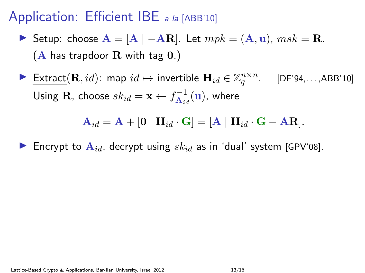- **I** Setup: choose  $\mathbf{A} = [\bar{\mathbf{A}} \mid -\bar{\mathbf{A}}\mathbf{R}]$ . Let  $mpk = (\mathbf{A}, \mathbf{u})$ ,  $msk = \mathbf{R}$ .  $(A$  has trapdoor R with tag  $0.$ )
- ► Extract $(\mathbf{R}, id)$ : map  $id \mapsto$  invertible  $\mathbf{H}_{id} \in \mathbb{Z}_q^{n \times n}$ . [DF'94,...,ABB'10] Using  $\mathbf{R}$ , choose  $sk_{id} = \mathbf{x} \leftarrow f_{\mathbf{A}_{id}}^{-1}$  $\overline{\mathbf{A}}_{id}^{-1}(\mathbf{u})$ , where

 $A_{id} = A + [0 | H_{id} \cdot G] = [\bar{A} | H_{id} \cdot G - AR].$ 

Encrypt to  $A_{id}$ , decrypt using  $sk_{id}$  as in 'dual' system [GPV'08].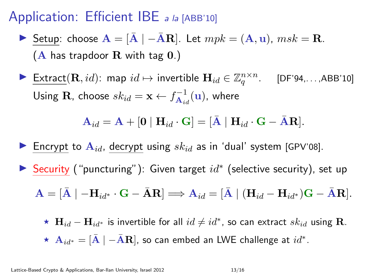- **I** Setup: choose  $\mathbf{A} = [\bar{\mathbf{A}} \mid -\bar{\mathbf{A}}\mathbf{R}]$ . Let  $mpk = (\mathbf{A}, \mathbf{u})$ ,  $msk = \mathbf{R}$ .  $(A$  has trapdoor R with tag  $0.$ )
- ► Extract $(\mathbf{R}, id)$ : map  $id \mapsto$  invertible  $\mathbf{H}_{id} \in \mathbb{Z}_q^{n \times n}$ . [DF'94,...,ABB'10] Using  $\mathbf{R}$ , choose  $sk_{id} = \mathbf{x} \leftarrow f_{\mathbf{A}_{id}}^{-1}$  $\overline{\mathbf{A}}_{id}^{-1}(\mathbf{u})$ , where

$$
\mathbf{A}_{id} = \mathbf{A} + [\mathbf{0} \mid \mathbf{H}_{id} \cdot \mathbf{G}] = [\bar{\mathbf{A}} \mid \mathbf{H}_{id} \cdot \mathbf{G} - \bar{\mathbf{A}} \mathbf{R}].
$$

- Encrypt to  $A_{id}$ , decrypt using  $sk_{id}$  as in 'dual' system [GPV'08].
- ▶ Security ("puncturing"): Given target  $id^*$  (selective security), set up

$$
\mathbf{A} = [\bar{\mathbf{A}} \mid -\mathbf{H}_{id^*} \cdot \mathbf{G} - \bar{\mathbf{A}} \mathbf{R}] \Longrightarrow \mathbf{A}_{id} = [\bar{\mathbf{A}} \mid (\mathbf{H}_{id} - \mathbf{H}_{id^*})\mathbf{G} - \bar{\mathbf{A}}\mathbf{R}].
$$

★  $\mathbf{H}_{id} - \mathbf{H}_{id}$ \* is invertible for all  $id \neq id^*$ , so can extract  $sk_{id}$  using R.  $\,\star\,$   ${\bf A}_{id^*}=[{\bar {\bf A}}\mid -{\bar {\bf A}}{\bf R}]$ , so can embed an LWE challenge at  $id^*.$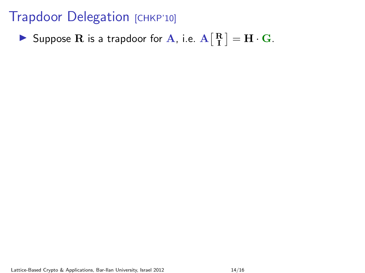Suppose R is a trapdoor for A, i.e.  $A\begin{bmatrix} R \ I \end{bmatrix} = H \cdot G$ .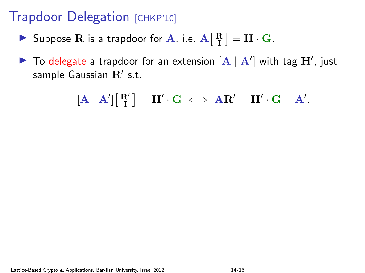- Suppose R is a trapdoor for A, i.e.  $A\begin{bmatrix} R \ I \end{bmatrix} = H \cdot G$ .
- $\blacktriangleright$  To delegate a trapdoor for an extension  $[A \mid A']$  with tag  $\mathbf{H}'$ , just sample Gaussian  $\mathbf{R}'$  s.t.

$$
[\mathbf{A} \mid \mathbf{A}'] [\begin{bmatrix} \mathbf{R}' \\ \mathbf{I} \end{bmatrix} = \mathbf{H}' \cdot \mathbf{G} \iff \mathbf{A}\mathbf{R}' = \mathbf{H}' \cdot \mathbf{G} - \mathbf{A}'.
$$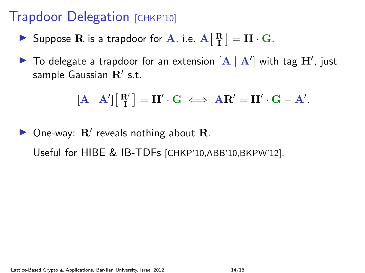- Suppose R is a trapdoor for A, i.e.  $A\begin{bmatrix} R \ I \end{bmatrix} = H \cdot G$ .
- $\blacktriangleright$  To delegate a trapdoor for an extension  $[\mathbf{A} \mid \mathbf{A}']$  with tag  $\mathbf{H}'$ , just sample Gaussian  $\mathbf{R}'$  s.t.

$$
[\mathbf{A}\mid \mathbf{A}']\big[\begin{smallmatrix}\mathbf{R}' \\ \mathbf{I}\end{smallmatrix}\big]=\mathbf{H}'\cdot \mathbf{G} \iff \mathbf{A}\mathbf{R}'=\mathbf{H}'\cdot \mathbf{G}-\mathbf{A}'.
$$

 $\triangleright$  One-way:  $\mathbf{R}'$  reveals nothing about  $\mathbf{R}$ . Useful for HIBE & IB-TDFs [CHKP'10,ABB'10,BKPW'12].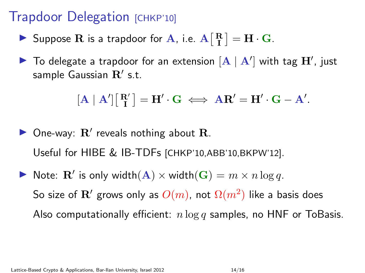- Suppose R is a trapdoor for A, i.e.  $A\begin{bmatrix} R \ I \end{bmatrix} = H \cdot G$ .
- $\blacktriangleright$  To delegate a trapdoor for an extension  $[\mathbf{A} \mid \mathbf{A}']$  with tag  $\mathbf{H}'$ , just sample Gaussian  $\mathbf{R}'$  s.t.

$$
[\mathbf{A}\mid \mathbf{A}']\big[\begin{smallmatrix}\mathbf{R}' \\ \mathbf{I}\end{smallmatrix}\big]=\mathbf{H}'\cdot \mathbf{G} \iff \mathbf{A}\mathbf{R}'=\mathbf{H}'\cdot \mathbf{G}-\mathbf{A}'.
$$

- $\triangleright$  One-way:  $\mathbf{R}'$  reveals nothing about  $\mathbf{R}$ . Useful for HIBE & IB-TDFs [CHKP'10,ABB'10,BKPW'12].
- Note:  $\mathbf{R}'$  is only width $(\mathbf{A}) \times \text{width}(\mathbf{G}) = m \times n \log q$ . So size of  ${\bf R}^\prime$  grows only as  $O(m)$ , not  $\Omega(m^2)$  like a basis does Also computationally efficient:  $n \log q$  samples, no HNF or ToBasis.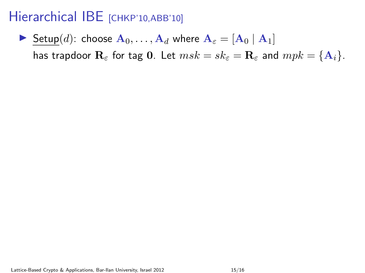# Hierarchical IBE [CHKP'10,ABB'10]

Setup(d): choose  $A_0, \ldots, A_d$  where  $A_{\varepsilon} = [A_0 | A_1]$ has trapdoor  $\mathbf{R}_{\varepsilon}$  for tag 0. Let  $msk = sk_{\varepsilon} = \mathbf{R}_{\varepsilon}$  and  $mpk = {\mathbf{A}_i}$ .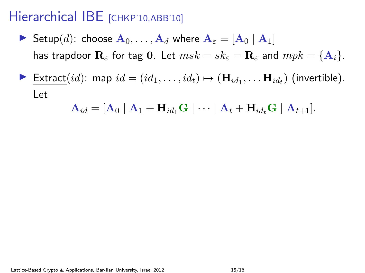## Hierarchical IBE [CHKP'10,ABB'10]

- Setup(d): choose  $A_0, \ldots, A_d$  where  $A_{\varepsilon} = [A_0 | A_1]$ has trapdoor  $\mathbf{R}_{\varepsilon}$  for tag 0. Let  $msk = sk_{\varepsilon} = \mathbf{R}_{\varepsilon}$  and  $mpk = {\mathbf{A}_i}$ .
- ▶ Extract $(id)$ : map  $id = (id_1, \ldots, id_t) \mapsto (\mathbf{H}_{id_1}, \ldots \mathbf{H}_{id_t})$  (invertible). Let

$$
\mathbf{A}_{id} = [\mathbf{A}_0 \mid \mathbf{A}_1 + \mathbf{H}_{id_1} \mathbf{G} \mid \cdots \mid \mathbf{A}_t + \mathbf{H}_{id_t} \mathbf{G} \mid \mathbf{A}_{t+1}].
$$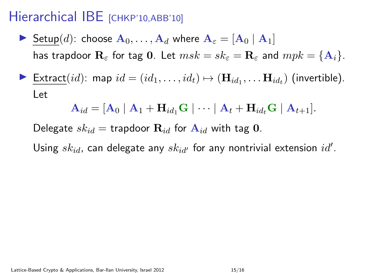## Hierarchical IBE [CHKP'10,ABB'10]

- Setup(d): choose  $A_0, \ldots, A_d$  where  $A_\varepsilon = [A_0 | A_1]$ has trapdoor  $\mathbf{R}_{\varepsilon}$  for tag 0. Let  $msk = sk_{\varepsilon} = \mathbf{R}_{\varepsilon}$  and  $mpk = {\mathbf{A}_{i}}$ .
- ▶ Extract $(id)$ : map  $id = (id_1, \ldots, id_t) \mapsto (\mathbf{H}_{id_1}, \ldots \mathbf{H}_{id_t})$  (invertible). Let

$$
\mathbf{A}_{id} = [\mathbf{A}_0 \mid \mathbf{A}_1 + \mathbf{H}_{id_1} \mathbf{G} \mid \cdots \mid \mathbf{A}_t + \mathbf{H}_{id_t} \mathbf{G} \mid \mathbf{A}_{t+1}].
$$

Delegate  $sk_{id}$  = trapdoor  $\mathbf{R}_{id}$  for  $\mathbf{A}_{id}$  with tag 0.

Using  $\mathit{sk}_{id}$ , can delegate any  $\mathit{sk}_{id'}$  for any nontrivial extension  $\mathit{id}'.$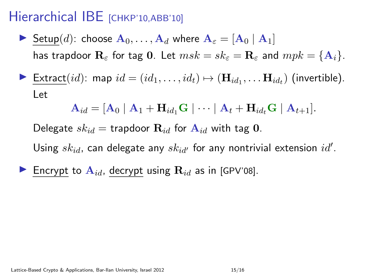## Hierarchical IBE [CHKP'10,ABB'10]

- Setup(d): choose  $A_0, \ldots, A_d$  where  $A_\varepsilon = [A_0 | A_1]$ has trapdoor  $\mathbf{R}_{\varepsilon}$  for tag 0. Let  $msk = sk_{\varepsilon} = \mathbf{R}_{\varepsilon}$  and  $mpk = {\mathbf{A}_i}$ .
- ▶ Extract $(id)$ : map  $id = (id_1, \ldots, id_t) \mapsto (\mathbf{H}_{id_1}, \ldots \mathbf{H}_{id_t})$  (invertible). Let

$$
\mathbf{A}_{id} = [\mathbf{A}_0 \mid \mathbf{A}_1 + \mathbf{H}_{id_1} \mathbf{G} \mid \cdots \mid \mathbf{A}_t + \mathbf{H}_{id_t} \mathbf{G} \mid \mathbf{A}_{t+1}].
$$

Delegate  $sk_{id}$  = trapdoor  $\mathbf{R}_{id}$  for  $\mathbf{A}_{id}$  with tag 0.

Using  $\mathit{sk}_{id}$ , can delegate any  $\mathit{sk}_{id'}$  for any nontrivial extension  $\mathit{id}'.$ 

Encrypt to  $\mathbf{A}_{id}$ , decrypt using  $\mathbf{R}_{id}$  as in [GPV'08].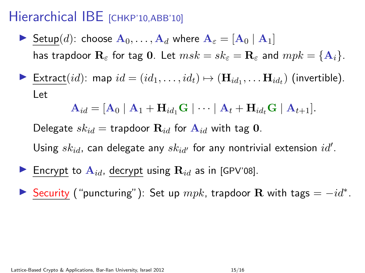## Hierarchical IBE [CHKP'10,ABB'10]

- Setup(d): choose  $A_0, \ldots, A_d$  where  $A_\varepsilon = [A_0 | A_1]$ has trapdoor  $\mathbf{R}_{\varepsilon}$  for tag 0. Let  $msk = sk_{\varepsilon} = \mathbf{R}_{\varepsilon}$  and  $mpk = {\mathbf{A}_i}$ .
- ▶ Extract $(id)$ : map  $id = (id_1, \ldots, id_t) \mapsto (\mathbf{H}_{id_1}, \ldots \mathbf{H}_{id_t})$  (invertible). Let

$$
\mathbf{A}_{id} = [\mathbf{A}_0 \mid \mathbf{A}_1 + \mathbf{H}_{id_1} \mathbf{G} \mid \cdots \mid \mathbf{A}_t + \mathbf{H}_{id_t} \mathbf{G} \mid \mathbf{A}_{t+1}].
$$

Delegate  $sk_{id}$  = trapdoor  $\mathbf{R}_{id}$  for  $\mathbf{A}_{id}$  with tag 0.

Using  $\mathit{sk}_{id}$ , can delegate any  $\mathit{sk}_{id'}$  for any nontrivial extension  $\mathit{id}'.$ 

- Encrypt to  $A_{id}$ , decrypt using  $R_{id}$  as in [GPV'08].
- Security ("puncturing"): Set up  $mpk$ , trapdoor R with tags =  $-id^*$ .